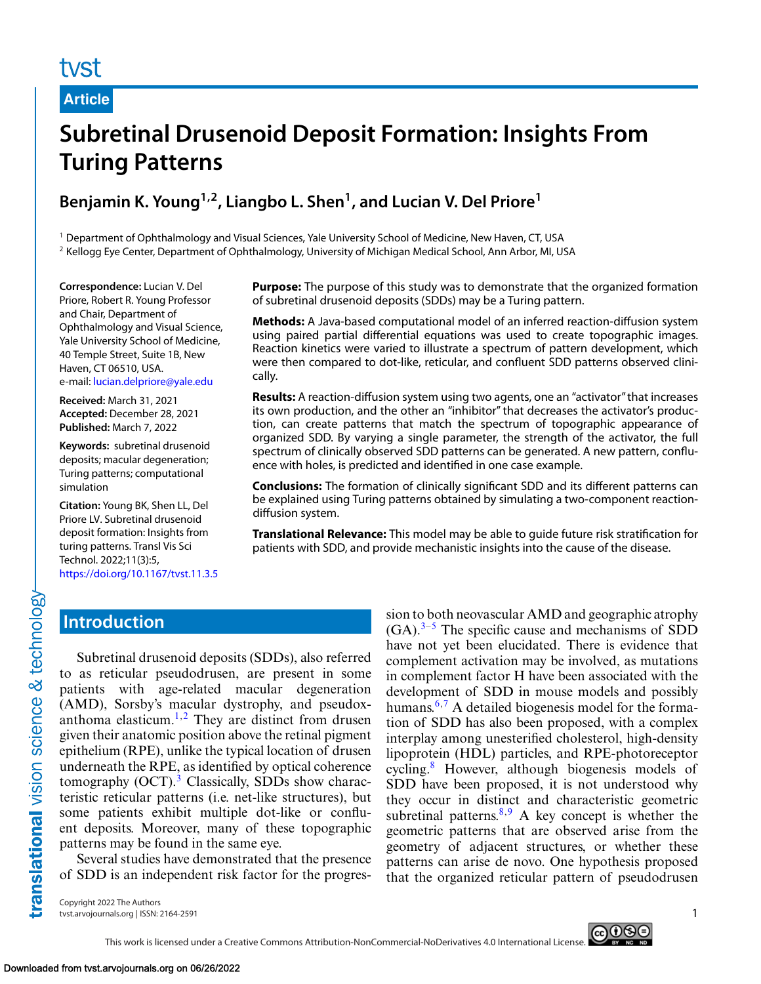# tyst

#### **Article**

# **Subretinal Drusenoid Deposit Formation: Insights From Turing Patterns**

# **Benjamin K. Young1,2, Liangbo L. Shen1, and Lucian V. Del Priore1**

<sup>1</sup> Department of Ophthalmology and Visual Sciences, Yale University School of Medicine, New Haven, CT, USA

<sup>2</sup> Kellogg Eye Center, Department of Ophthalmology, University of Michigan Medical School, Ann Arbor, MI, USA

**Correspondence:** Lucian V. Del Priore, Robert R. Young Professor and Chair, Department of Ophthalmology and Visual Science, Yale University School of Medicine, 40 Temple Street, Suite 1B, New Haven, CT 06510, USA. e-mail: [lucian.delpriore@yale.edu](mailto:lucian.delpriore@yale.edu)

**Received:** March 31, 2021 **Accepted:** December 28, 2021 **Published:** March 7, 2022

**Keywords:** subretinal drusenoid deposits; macular degeneration; Turing patterns; computational simulation

**Citation:** Young BK, Shen LL, Del Priore LV. Subretinal drusenoid deposit formation: Insights from turing patterns. Transl Vis Sci Technol. 2022;11(3):5, <https://doi.org/10.1167/tvst.11.3.5> **Purpose:** The purpose of this study was to demonstrate that the organized formation of subretinal drusenoid deposits (SDDs) may be a Turing pattern.

**Methods:** A Java-based computational model of an inferred reaction-diffusion system using paired partial differential equations was used to create topographic images. Reaction kinetics were varied to illustrate a spectrum of pattern development, which were then compared to dot-like, reticular, and confluent SDD patterns observed clinically.

**Results:** A reaction-diffusion system using two agents, one an "activator" that increases its own production, and the other an "inhibitor" that decreases the activator's production, can create patterns that match the spectrum of topographic appearance of organized SDD. By varying a single parameter, the strength of the activator, the full spectrum of clinically observed SDD patterns can be generated. A new pattern, confluence with holes, is predicted and identified in one case example.

**Conclusions:** The formation of clinically significant SDD and its different patterns can be explained using Turing patterns obtained by simulating a two-component reactiondiffusion system.

**Translational Relevance:** This model may be able to guide future risk stratification for patients with SDD, and provide mechanistic insights into the cause of the disease.

## **Introduction**

Subretinal drusenoid deposits (SDDs), also referred to as reticular pseudodrusen, are present in some patients with age-related macular degeneration (AMD), Sorsby's macular dystrophy, and pseudox-anthoma elasticum.<sup>[1,2](#page-5-0)</sup> They are distinct from drusen given their anatomic position above the retinal pigment epithelium (RPE), unlike the typical location of drusen underneath the RPE, as identified by optical coherence tomography  $(OCT)$ .<sup>[3](#page-5-0)</sup> Classically, SDDs show characteristic reticular patterns (i.e. net-like structures), but some patients exhibit multiple dot-like or confluent deposits. Moreover, many of these topographic patterns may be found in the same eye.

Several studies have demonstrated that the presence of SDD is an independent risk factor for the progression to both neovascular AMD and geographic atrophy  $(GA).<sup>3-5</sup>$  The specific cause and mechanisms of SDD have not yet been elucidated. There is evidence that complement activation may be involved, as mutations in complement factor H have been associated with the development of SDD in mouse models and possibly humans.<sup>[6,7](#page-5-0)</sup> A detailed biogenesis model for the formation of SDD has also been proposed, with a complex interplay among unesterified cholesterol, high-density lipoprotein (HDL) particles, and RPE-photoreceptor cycling.[8](#page-5-0) However, although biogenesis models of SDD have been proposed, it is not understood why they occur in distinct and characteristic geometric subretinal patterns. $8,9$  A key concept is whether the geometric patterns that are observed arise from the geometry of adjacent structures, or whether these patterns can arise de novo. One hypothesis proposed that the organized reticular pattern of pseudodrusen

Copyright 2022 The Authors tvst.arvojournals.org | ISSN: 2164-2591 1

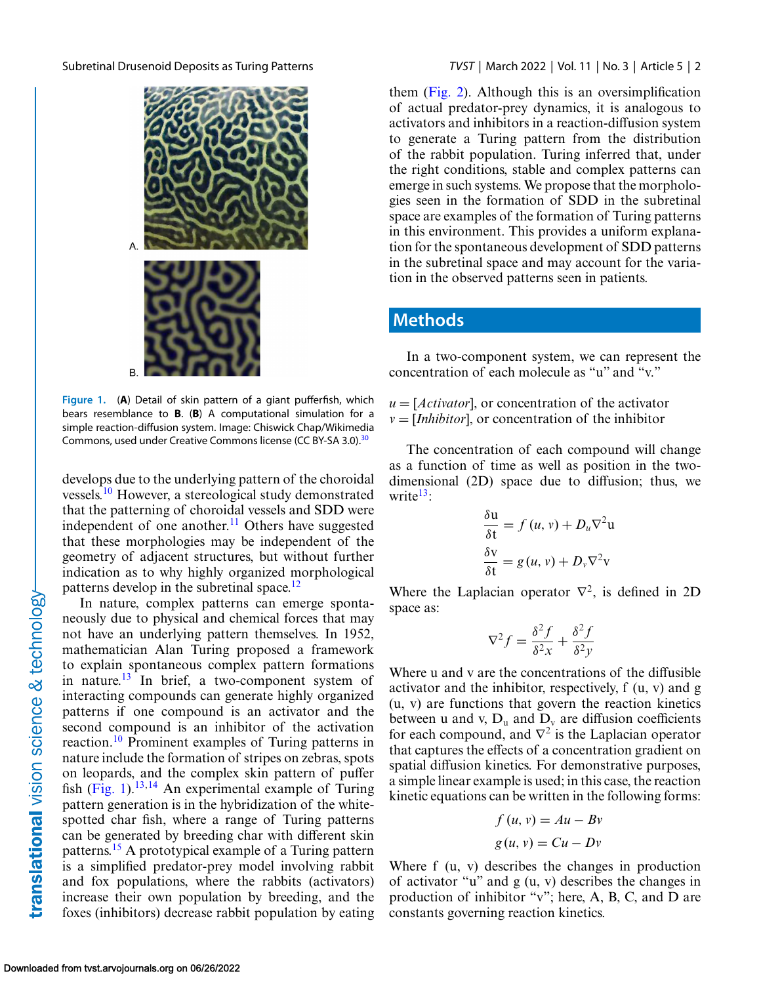<span id="page-1-0"></span>

**Figure 1.** (**A**) Detail of skin pattern of a giant pufferfish, which bears resemblance to **B**. (**B**) A computational simulation for a simple reaction-diffusion system. Image: Chiswick Chap/Wikimedia Commons, used under Creative Commons license (CC BY-SA 3.0).<sup>30</sup>

develops due to the underlying pattern of the choroidal vessels.[10](#page-6-0) However, a stereological study demonstrated that the patterning of choroidal vessels and SDD were independent of one another.<sup>11</sup> Others have suggested that these morphologies may be independent of the geometry of adjacent structures, but without further indication as to why highly organized morphological patterns develop in the subretinal space.<sup>12</sup>

In nature, complex patterns can emerge spontaneously due to physical and chemical forces that may not have an underlying pattern themselves. In 1952, mathematician Alan Turing proposed a framework to explain spontaneous complex pattern formations in nature. $13$  In brief, a two-component system of interacting compounds can generate highly organized patterns if one compound is an activator and the second compound is an inhibitor of the activation reaction[.10](#page-6-0) Prominent examples of Turing patterns in nature include the formation of stripes on zebras, spots on leopards, and the complex skin pattern of puffer fish  $(Fig. 1)$ .<sup>13,14</sup> An experimental example of Turing pattern generation is in the hybridization of the whitespotted char fish, where a range of Turing patterns can be generated by breeding char with different skin patterns.[15](#page-6-0) A prototypical example of a Turing pattern is a simplified predator-prey model involving rabbit and fox populations, where the rabbits (activators) increase their own population by breeding, and the foxes (inhibitors) decrease rabbit population by eating them [\(Fig. 2\)](#page-2-0). Although this is an oversimplification of actual predator-prey dynamics, it is analogous to activators and inhibitors in a reaction-diffusion system to generate a Turing pattern from the distribution of the rabbit population. Turing inferred that, under the right conditions, stable and complex patterns can emerge in such systems. We propose that the morphologies seen in the formation of SDD in the subretinal space are examples of the formation of Turing patterns in this environment. This provides a uniform explanation for the spontaneous development of SDD patterns in the subretinal space and may account for the variation in the observed patterns seen in patients.

#### **Methods**

In a two-component system, we can represent the concentration of each molecule as "u" and "v."

 $u = [Activity at or]$ , or concentration of the activator  $v = [Inhibitor]$ , or concentration of the inhibitor

The concentration of each compound will change as a function of time as well as position in the twodimensional (2D) space due to diffusion; thus, we write $13$ :

$$
\frac{\delta \mathbf{u}}{\delta \mathbf{t}} = f (u, v) + D_u \nabla^2 \mathbf{u}
$$

$$
\frac{\delta \mathbf{v}}{\delta \mathbf{t}} = g (u, v) + D_v \nabla^2 \mathbf{v}
$$

Where the Laplacian operator  $\nabla^2$ , is defined in 2D space as:

$$
\nabla^2 f = \frac{\delta^2 f}{\delta^2 x} + \frac{\delta^2 f}{\delta^2 y}
$$

Where u and v are the concentrations of the diffusible activator and the inhibitor, respectively, f (u, v) and g (u, v) are functions that govern the reaction kinetics between u and v,  $D_u$  and  $D_v$  are diffusion coefficients for each compound, and  $\nabla^2$  is the Laplacian operator that captures the effects of a concentration gradient on spatial diffusion kinetics. For demonstrative purposes, a simple linear example is used; in this case, the reaction kinetic equations can be written in the following forms:

$$
f (u, v) = Au - Bv
$$

$$
g (u, v) = Cu - Dv
$$

Where f  $(u, v)$  describes the changes in production of activator "u" and  $g(u, v)$  describes the changes in production of inhibitor "v"; here, A, B, C, and D are constants governing reaction kinetics.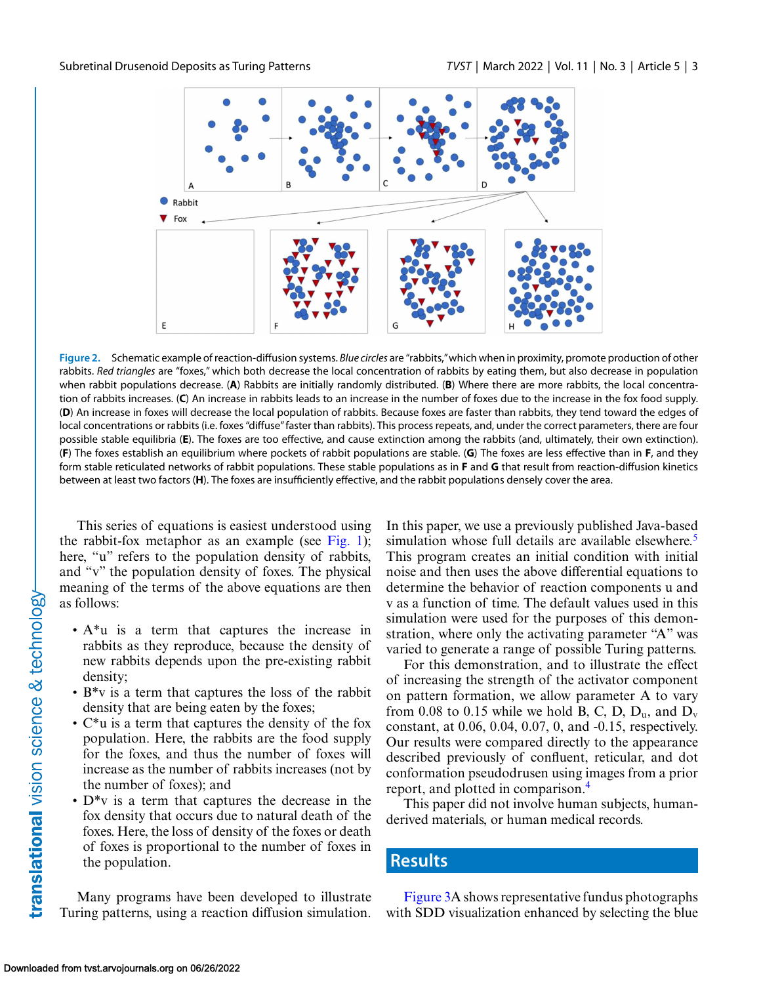<span id="page-2-0"></span>

**Figure 2.** Schematic example of reaction-diffusion systems. *Blue circles* are "rabbits,"which when in proximity, promote production of other rabbits. *Red triangles* are "foxes," which both decrease the local concentration of rabbits by eating them, but also decrease in population when rabbit populations decrease. (**A**) Rabbits are initially randomly distributed. (**B**) Where there are more rabbits, the local concentration of rabbits increases. (**C**) An increase in rabbits leads to an increase in the number of foxes due to the increase in the fox food supply. (**D**) An increase in foxes will decrease the local population of rabbits. Because foxes are faster than rabbits, they tend toward the edges of local concentrations or rabbits (i.e. foxes "diffuse"faster than rabbits). This process repeats, and, under the correct parameters, there are four possible stable equilibria (**E**). The foxes are too effective, and cause extinction among the rabbits (and, ultimately, their own extinction). (**F**) The foxes establish an equilibrium where pockets of rabbit populations are stable. (**G**) The foxes are less effective than in **F**, and they form stable reticulated networks of rabbit populations. These stable populations as in **F** and **G** that result from reaction-diffusion kinetics between at least two factors (**H**). The foxes are insufficiently effective, and the rabbit populations densely cover the area.

This series of equations is easiest understood using the rabbit-fox metaphor as an example (see [Fig. 1\)](#page-1-0); here, "u" refers to the population density of rabbits, and "v" the population density of foxes. The physical meaning of the terms of the above equations are then as follows:

- A\*u is a term that captures the increase in rabbits as they reproduce, because the density of new rabbits depends upon the pre-existing rabbit density;
- B\*v is a term that captures the loss of the rabbit density that are being eaten by the foxes;
- C\*u is a term that captures the density of the fox population. Here, the rabbits are the food supply for the foxes, and thus the number of foxes will increase as the number of rabbits increases (not by the number of foxes); and
- D\*v is a term that captures the decrease in the fox density that occurs due to natural death of the foxes. Here, the loss of density of the foxes or death of foxes is proportional to the number of foxes in the population.

Many programs have been developed to illustrate Turing patterns, using a reaction diffusion simulation.

In this paper, we use a previously published Java-based simulation whose full details are available elsewhere. $\frac{5}{1}$ This program creates an initial condition with initial noise and then uses the above differential equations to determine the behavior of reaction components u and v as a function of time. The default values used in this simulation were used for the purposes of this demonstration, where only the activating parameter "A" was varied to generate a range of possible Turing patterns.

For this demonstration, and to illustrate the effect of increasing the strength of the activator component on pattern formation, we allow parameter A to vary from 0.08 to 0.15 while we hold B, C, D,  $D_u$ , and  $D_v$ constant, at 0.06, 0.04, 0.07, 0, and -0.15, respectively. Our results were compared directly to the appearance described previously of confluent, reticular, and dot conformation pseudodrusen using images from a prior report, and plotted in comparison.[4](#page-5-0)

This paper did not involve human subjects, humanderived materials, or human medical records.

#### **Results**

[Figure 3A](#page-3-0) shows representative fundus photographs with SDD visualization enhanced by selecting the blue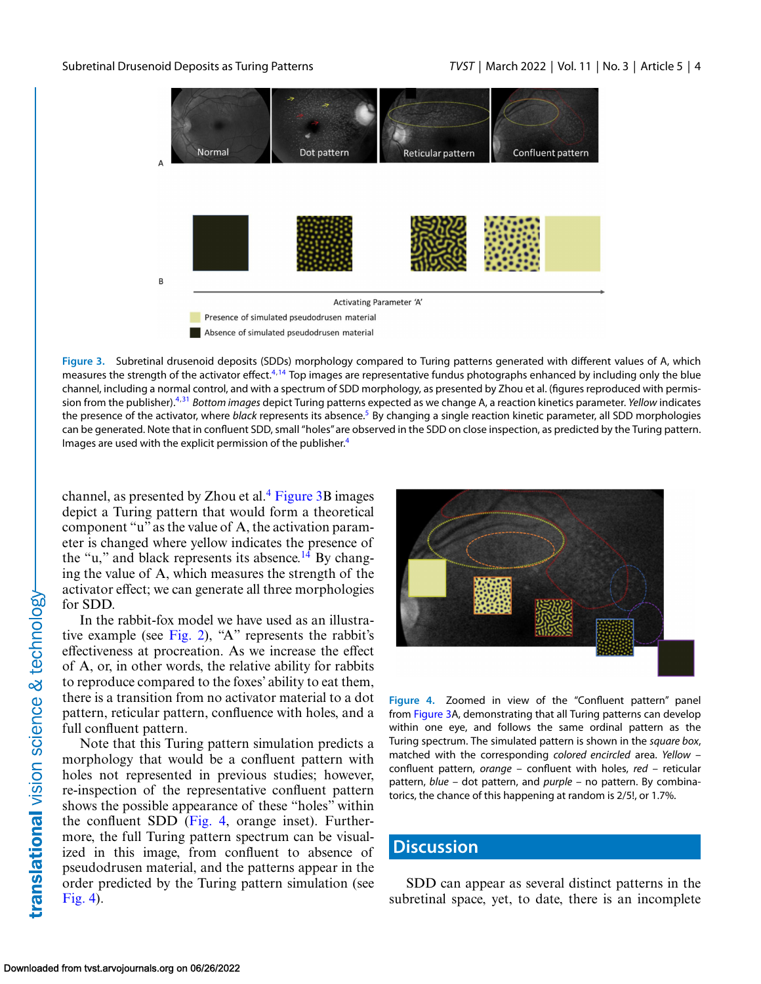<span id="page-3-0"></span>

**Figure 3.** Subretinal drusenoid deposits (SDDs) morphology compared to Turing patterns generated with different values of A, which measures the strength of the activator effect.<sup>[4,](#page-5-0)[14](#page-6-0)</sup> Top images are representative fundus photographs enhanced by including only the blue channel, including a normal control, and with a spectrum of SDD morphology, as presented by Zhou et al. (figures reproduced with permission from the publisher)[.4,](#page-5-0)[31](#page-6-0) *Bottom images* depict Turing patterns expected as we change A, a reaction kinetics parameter. *Yellow* indicates the presence of the activator, where *black* represents its absence[.5](#page-5-0) By changing a single reaction kinetic parameter, all SDD morphologies can be generated. Note that in confluent SDD, small "holes"are observed in the SDD on close inspection, as predicted by the Turing pattern. Images are used with the explicit permission of the publisher.<sup>4</sup>

channel, as presented by Zhou et al. $4$  Figure 3B images depict a Turing pattern that would form a theoretical component "u" as the value of A, the activation parameter is changed where yellow indicates the presence of the "u," and black represents its absence.<sup>[14](#page-6-0)</sup> By changing the value of A, which measures the strength of the activator effect; we can generate all three morphologies for SDD.

In the rabbit-fox model we have used as an illustrative example (see [Fig. 2\)](#page-2-0), "A" represents the rabbit's effectiveness at procreation. As we increase the effect of A, or, in other words, the relative ability for rabbits to reproduce compared to the foxes' ability to eat them, there is a transition from no activator material to a dot pattern, reticular pattern, confluence with holes, and a full confluent pattern.

Note that this Turing pattern simulation predicts a morphology that would be a confluent pattern with holes not represented in previous studies; however, re-inspection of the representative confluent pattern shows the possible appearance of these "holes" within the confluent SDD (Fig. 4, orange inset). Furthermore, the full Turing pattern spectrum can be visualized in this image, from confluent to absence of pseudodrusen material, and the patterns appear in the order predicted by the Turing pattern simulation (see Fig. 4).



**Figure 4.** Zoomed in view of the "Confluent pattern" panel from Figure 3A, demonstrating that all Turing patterns can develop within one eye, and follows the same ordinal pattern as the Turing spectrum. The simulated pattern is shown in the *square box*, matched with the corresponding *colored encircled* area. *Yellow* – confluent pattern, *orange* – confluent with holes, *red* – reticular pattern, *blue* – dot pattern, and *purple* – no pattern. By combinatorics, the chance of this happening at random is 2/5!, or 1.7%.

#### **Discussion**

SDD can appear as several distinct patterns in the subretinal space, yet, to date, there is an incomplete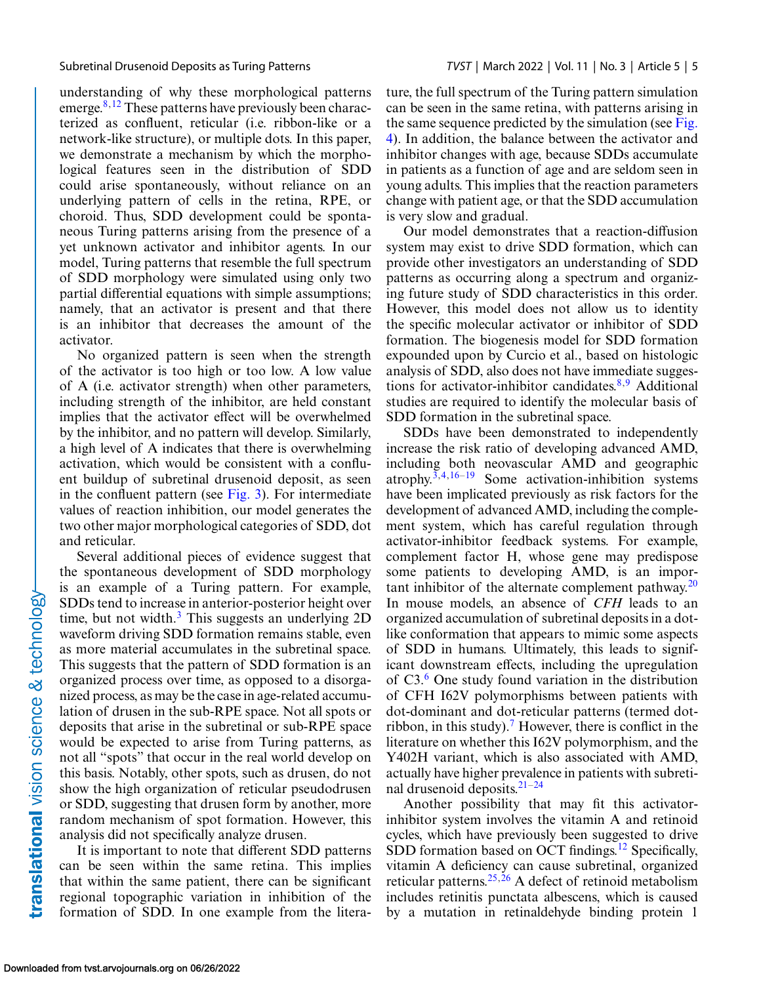understanding of why these morphological patterns emerge. $8,12$  $8,12$  These patterns have previously been characterized as confluent, reticular (i.e. ribbon-like or a network-like structure), or multiple dots. In this paper, we demonstrate a mechanism by which the morphological features seen in the distribution of SDD could arise spontaneously, without reliance on an underlying pattern of cells in the retina, RPE, or choroid. Thus, SDD development could be spontaneous Turing patterns arising from the presence of a yet unknown activator and inhibitor agents. In our model, Turing patterns that resemble the full spectrum of SDD morphology were simulated using only two partial differential equations with simple assumptions; namely, that an activator is present and that there is an inhibitor that decreases the amount of the activator.

No organized pattern is seen when the strength of the activator is too high or too low. A low value of A (i.e. activator strength) when other parameters, including strength of the inhibitor, are held constant implies that the activator effect will be overwhelmed by the inhibitor, and no pattern will develop. Similarly, a high level of A indicates that there is overwhelming activation, which would be consistent with a confluent buildup of subretinal drusenoid deposit, as seen in the confluent pattern (see [Fig. 3\)](#page-3-0). For intermediate values of reaction inhibition, our model generates the two other major morphological categories of SDD, dot and reticular.

Several additional pieces of evidence suggest that the spontaneous development of SDD morphology is an example of a Turing pattern. For example, SDDs tend to increase in anterior-posterior height over time, but not width. $3$  This suggests an underlying 2D waveform driving SDD formation remains stable, even as more material accumulates in the subretinal space. This suggests that the pattern of SDD formation is an organized process over time, as opposed to a disorganized process, as may be the case in age-related accumulation of drusen in the sub-RPE space. Not all spots or deposits that arise in the subretinal or sub-RPE space would be expected to arise from Turing patterns, as not all "spots" that occur in the real world develop on this basis. Notably, other spots, such as drusen, do not show the high organization of reticular pseudodrusen or SDD, suggesting that drusen form by another, more random mechanism of spot formation. However, this analysis did not specifically analyze drusen.

It is important to note that different SDD patterns can be seen within the same retina. This implies that within the same patient, there can be significant regional topographic variation in inhibition of the formation of SDD. In one example from the literature, the full spectrum of the Turing pattern simulation can be seen in the same retina, with patterns arising in the same sequence predicted by the simulation (see Fig. [4\). In addition, the balance between the activator and](#page-3-0) inhibitor changes with age, because SDDs accumulate in patients as a function of age and are seldom seen in young adults. This implies that the reaction parameters change with patient age, or that the SDD accumulation is very slow and gradual.

Our model demonstrates that a reaction-diffusion system may exist to drive SDD formation, which can provide other investigators an understanding of SDD patterns as occurring along a spectrum and organizing future study of SDD characteristics in this order. However, this model does not allow us to identity the specific molecular activator or inhibitor of SDD formation. The biogenesis model for SDD formation expounded upon by Curcio et al., based on histologic analysis of SDD, also does not have immediate suggestions for activator-inhibitor candidates. $8,9$  Additional studies are required to identify the molecular basis of SDD formation in the subretinal space.

SDDs have been demonstrated to independently increase the risk ratio of developing advanced AMD, including both neovascular AMD and geographic atrophy.<sup>3,4[,16–19](#page-6-0)</sup> Some activation-inhibition systems have been implicated previously as risk factors for the development of advanced AMD, including the complement system, which has careful regulation through activator-inhibitor feedback systems. For example, complement factor H, whose gene may predispose some patients to developing AMD, is an important inhibitor of the alternate complement pathway. $20$ In mouse models, an absence of *CFH* leads to an organized accumulation of subretinal deposits in a dotlike conformation that appears to mimic some aspects of SDD in humans. Ultimately, this leads to significant downstream effects, including the upregulation of  $C3<sup>6</sup>$  One study found variation in the distribution of CFH I62V polymorphisms between patients with dot-dominant and dot-reticular patterns (termed dot-ribbon, in this study).<sup>[7](#page-5-0)</sup> However, there is conflict in the literature on whether this I62V polymorphism, and the Y402H variant, which is also associated with AMD, actually have higher prevalence in patients with subretinal drusenoid deposits. $21-24$ 

Another possibility that may fit this activatorinhibitor system involves the vitamin A and retinoid cycles, which have previously been suggested to drive SDD formation based on OCT findings.<sup>[12](#page-6-0)</sup> Specifically, vitamin A deficiency can cause subretinal, organized reticular patterns.<sup>[25,26](#page-6-0)</sup> A defect of retinoid metabolism includes retinitis punctata albescens, which is caused by a mutation in retinaldehyde binding protein 1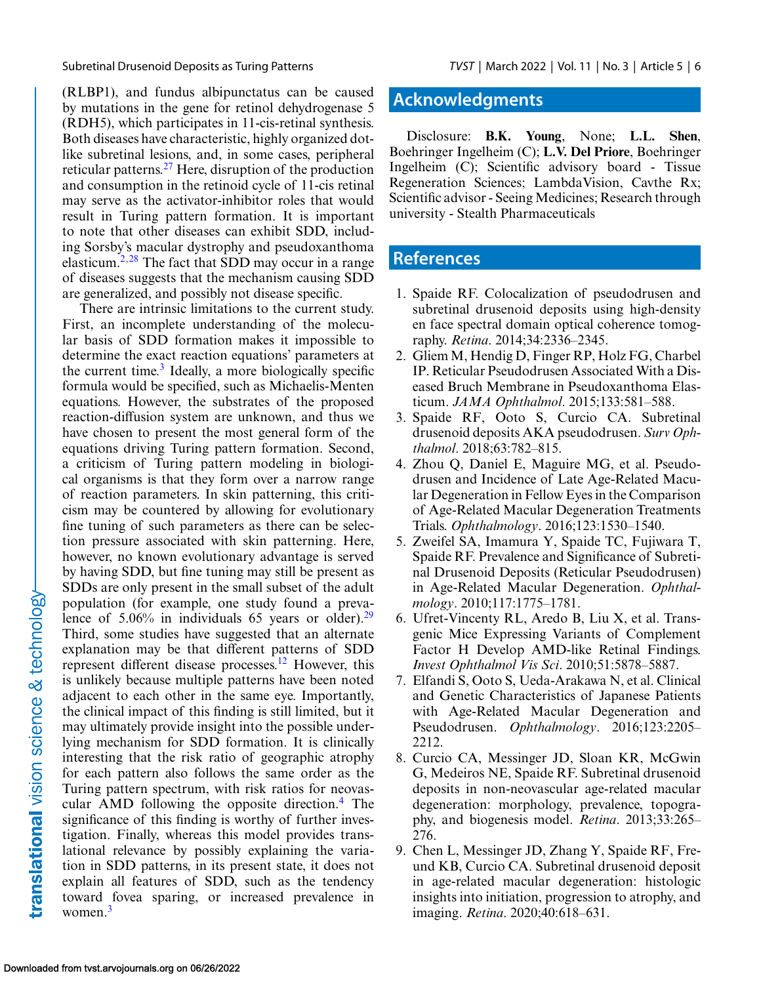<span id="page-5-0"></span>

(RLBP1), and fundus albipunctatus can be caused by mutations in the gene for retinol dehydrogenase 5 (RDH5), which participates in 11-cis-retinal synthesis. Both diseases have characteristic, highly organized dotlike subretinal lesions, and, in some cases, peripheral reticular patterns.[27](#page-6-0) Here, disruption of the production and consumption in the retinoid cycle of 11-cis retinal may serve as the activator-inhibitor roles that would result in Turing pattern formation. It is important to note that other diseases can exhibit SDD, including Sorsby's macular dystrophy and pseudoxanthoma elasticum.<sup>2[,28](#page-6-0)</sup> The fact that SDD may occur in a range of diseases suggests that the mechanism causing SDD are generalized, and possibly not disease specific.

There are intrinsic limitations to the current study. First, an incomplete understanding of the molecular basis of SDD formation makes it impossible to determine the exact reaction equations' parameters at the current time.<sup>3</sup> Ideally, a more biologically specific formula would be specified, such as Michaelis-Menten equations. However, the substrates of the proposed reaction-diffusion system are unknown, and thus we have chosen to present the most general form of the equations driving Turing pattern formation. Second, a criticism of Turing pattern modeling in biological organisms is that they form over a narrow range of reaction parameters. In skin patterning, this criticism may be countered by allowing for evolutionary fine tuning of such parameters as there can be selection pressure associated with skin patterning. Here, however, no known evolutionary advantage is served by having SDD, but fine tuning may still be present as SDDs are only present in the small subset of the adult population (for example, one study found a prevalence of  $5.06\%$  in individuals 65 years or older).<sup>29</sup> Third, some studies have suggested that an alternate explanation may be that different patterns of SDD represent different disease processes.<sup>[12](#page-6-0)</sup> However, this is unlikely because multiple patterns have been noted adjacent to each other in the same eye. Importantly, the clinical impact of this finding is still limited, but it may ultimately provide insight into the possible underlying mechanism for SDD formation. It is clinically interesting that the risk ratio of geographic atrophy for each pattern also follows the same order as the Turing pattern spectrum, with risk ratios for neovascular AMD following the opposite direction.4 The significance of this finding is worthy of further investigation. Finally, whereas this model provides translational relevance by possibly explaining the variation in SDD patterns, in its present state, it does not explain all features of SDD, such as the tendency toward fovea sparing, or increased prevalence in women. $3$ 

### **Acknowledgments**

Disclosure: **B.K. Young**, None; **L.L. Shen**, Boehringer Ingelheim (C); **L.V. Del Priore**, Boehringer Ingelheim (C); Scientific advisory board - Tissue Regeneration Sciences; LambdaVision, Cavthe Rx; Scientific advisor - Seeing Medicines; Research through university - Stealth Pharmaceuticals

## **References**

- 1. Spaide RF. Colocalization of pseudodrusen and subretinal drusenoid deposits using high-density en face spectral domain optical coherence tomography. *Retina*. 2014;34:2336–2345.
- 2. Gliem M, Hendig D, Finger RP, Holz FG, Charbel IP. Reticular Pseudodrusen Associated With a Diseased Bruch Membrane in Pseudoxanthoma Elasticum. *JAMA Ophthalmol*. 2015;133:581–588.
- 3. Spaide RF, Ooto S, Curcio CA. Subretinal drusenoid deposits AKA pseudodrusen. *Surv Ophthalmol*. 2018;63:782–815.
- 4. Zhou Q, Daniel E, Maguire MG, et al. Pseudodrusen and Incidence of Late Age-Related Macular Degeneration in Fellow Eyes in the Comparison of Age-Related Macular Degeneration Treatments Trials. *Ophthalmology*. 2016;123:1530–1540.
- 5. Zweifel SA, Imamura Y, Spaide TC, Fujiwara T, Spaide RF. Prevalence and Significance of Subretinal Drusenoid Deposits (Reticular Pseudodrusen) in Age-Related Macular Degeneration. *Ophthalmology*. 2010;117:1775–1781.
- 6. Ufret-Vincenty RL, Aredo B, Liu X, et al. Transgenic Mice Expressing Variants of Complement Factor H Develop AMD-like Retinal Findings. *Invest Ophthalmol Vis Sci*. 2010;51:5878–5887.
- 7. Elfandi S, Ooto S, Ueda-Arakawa N, et al. Clinical and Genetic Characteristics of Japanese Patients with Age-Related Macular Degeneration and Pseudodrusen. *Ophthalmology*. 2016;123:2205– 2212.
- 8. Curcio CA, Messinger JD, Sloan KR, McGwin G, Medeiros NE, Spaide RF. Subretinal drusenoid deposits in non-neovascular age-related macular degeneration: morphology, prevalence, topography, and biogenesis model. *Retina*. 2013;33:265– 276.
- 9. Chen L, Messinger JD, Zhang Y, Spaide RF, Freund KB, Curcio CA. Subretinal drusenoid deposit in age-related macular degeneration: histologic insights into initiation, progression to atrophy, and imaging. *Retina*. 2020;40:618–631.